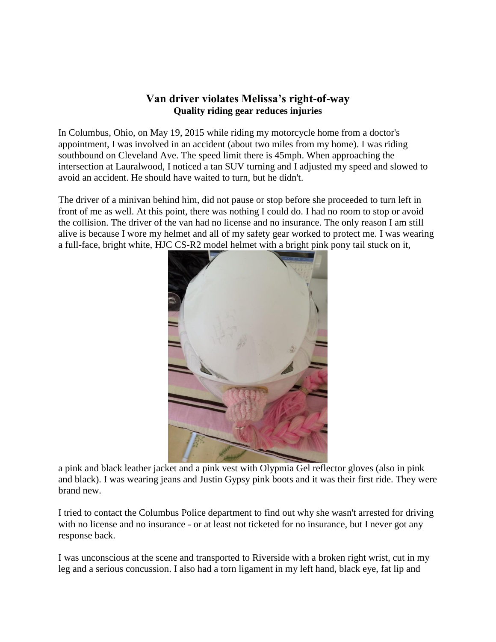## **Van driver violates Melissa's right-of-way Quality riding gear reduces injuries**

In Columbus, Ohio, on May 19, 2015 while riding my motorcycle home from a doctor's appointment, I was involved in an accident (about two miles from my home). I was riding southbound on Cleveland Ave. The speed limit there is 45mph. When approaching the intersection at Lauralwood, I noticed a tan SUV turning and I adjusted my speed and slowed to avoid an accident. He should have waited to turn, but he didn't.

The driver of a minivan behind him, did not pause or stop before she proceeded to turn left in front of me as well. At this point, there was nothing I could do. I had no room to stop or avoid the collision. The driver of the van had no license and no insurance. The only reason I am still alive is because I wore my helmet and all of my safety gear worked to protect me. I was wearing a full-face, bright white, HJC CS-R2 model helmet with a bright pink pony tail stuck on it,



a pink and black leather jacket and a pink vest with Olypmia Gel reflector gloves (also in pink and black). I was wearing jeans and Justin Gypsy pink boots and it was their first ride. They were brand new.

I tried to contact the Columbus Police department to find out why she wasn't arrested for driving with no license and no insurance - or at least not ticketed for no insurance, but I never got any response back.

I was unconscious at the scene and transported to Riverside with a broken right wrist, cut in my leg and a serious concussion. I also had a torn ligament in my left hand, black eye, fat lip and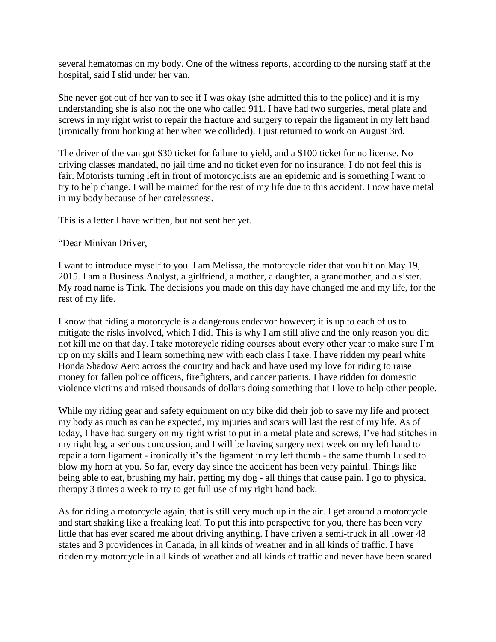several hematomas on my body. One of the witness reports, according to the nursing staff at the hospital, said I slid under her van.

She never got out of her van to see if I was okay (she admitted this to the police) and it is my understanding she is also not the one who called 911. I have had two surgeries, metal plate and screws in my right wrist to repair the fracture and surgery to repair the ligament in my left hand (ironically from honking at her when we collided). I just returned to work on August 3rd.

The driver of the van got \$30 ticket for failure to yield, and a \$100 ticket for no license. No driving classes mandated, no jail time and no ticket even for no insurance. I do not feel this is fair. Motorists turning left in front of motorcyclists are an epidemic and is something I want to try to help change. I will be maimed for the rest of my life due to this accident. I now have metal in my body because of her carelessness.

This is a letter I have written, but not sent her yet.

"Dear Minivan Driver,

I want to introduce myself to you. I am Melissa, the motorcycle rider that you hit on May 19, 2015. I am a Business Analyst, a girlfriend, a mother, a daughter, a grandmother, and a sister. My road name is Tink. The decisions you made on this day have changed me and my life, for the rest of my life.

I know that riding a motorcycle is a dangerous endeavor however; it is up to each of us to mitigate the risks involved, which I did. This is why I am still alive and the only reason you did not kill me on that day. I take motorcycle riding courses about every other year to make sure I'm up on my skills and I learn something new with each class I take. I have ridden my pearl white Honda Shadow Aero across the country and back and have used my love for riding to raise money for fallen police officers, firefighters, and cancer patients. I have ridden for domestic violence victims and raised thousands of dollars doing something that I love to help other people.

While my riding gear and safety equipment on my bike did their job to save my life and protect my body as much as can be expected, my injuries and scars will last the rest of my life. As of today, I have had surgery on my right wrist to put in a metal plate and screws, I've had stitches in my right leg, a serious concussion, and I will be having surgery next week on my left hand to repair a torn ligament - ironically it's the ligament in my left thumb - the same thumb I used to blow my horn at you. So far, every day since the accident has been very painful. Things like being able to eat, brushing my hair, petting my dog - all things that cause pain. I go to physical therapy 3 times a week to try to get full use of my right hand back.

As for riding a motorcycle again, that is still very much up in the air. I get around a motorcycle and start shaking like a freaking leaf. To put this into perspective for you, there has been very little that has ever scared me about driving anything. I have driven a semi-truck in all lower 48 states and 3 providences in Canada, in all kinds of weather and in all kinds of traffic. I have ridden my motorcycle in all kinds of weather and all kinds of traffic and never have been scared